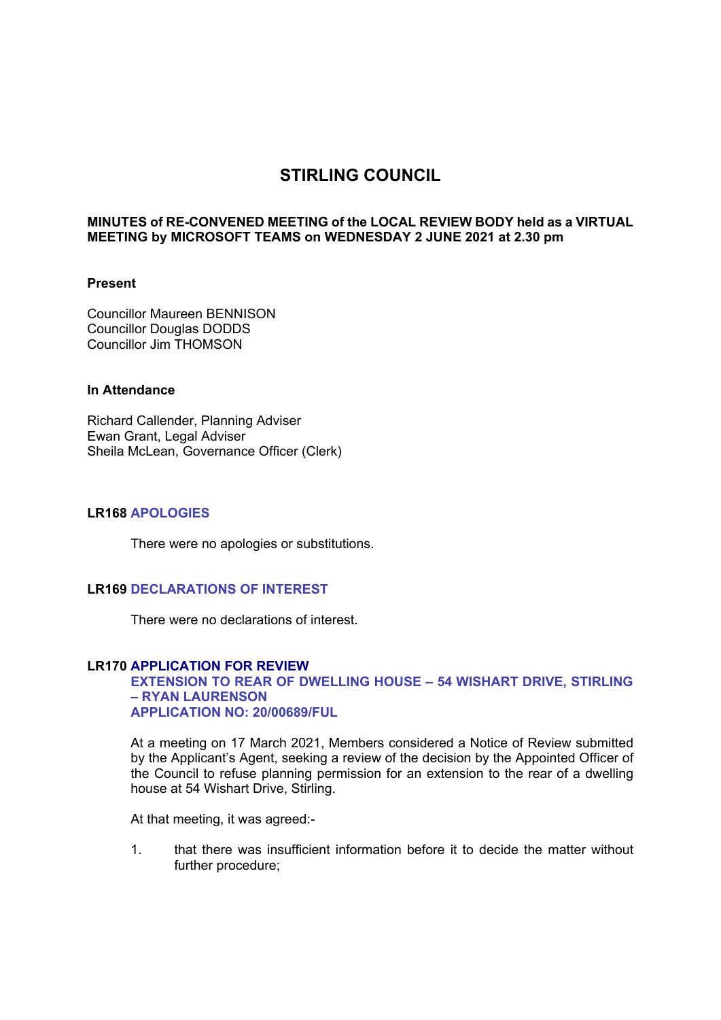# **STIRLING COUNCIL**

# **MINUTES of RE-CONVENED MEETING of the LOCAL REVIEW BODY held as a VIRTUAL MEETING by MICROSOFT TEAMS on WEDNESDAY 2 JUNE 2021 at 2.30 pm**

#### **Present**

Councillor Maureen BENNISON Councillor Douglas DODDS Councillor Jim THOMSON

# **In Attendance**

Richard Callender, Planning Adviser Ewan Grant, Legal Adviser Sheila McLean, Governance Officer (Clerk)

# **LR168 APOLOGIES**

There were no apologies or substitutions.

### **LR169 DECLARATIONS OF INTEREST**

There were no declarations of interest.

#### **LR170 APPLICATION FOR REVIEW**

#### **EXTENSION TO REAR OF DWELLING HOUSE – 54 WISHART DRIVE, STIRLING – RYAN LAURENSON APPLICATION NO: 20/00689/FUL**

At a meeting on 17 March 2021, Members considered a Notice of Review submitted by the Applicant's Agent, seeking a review of the decision by the Appointed Officer of the Council to refuse planning permission for an extension to the rear of a dwelling house at 54 Wishart Drive, Stirling.

At that meeting, it was agreed:-

1. that there was insufficient information before it to decide the matter without further procedure;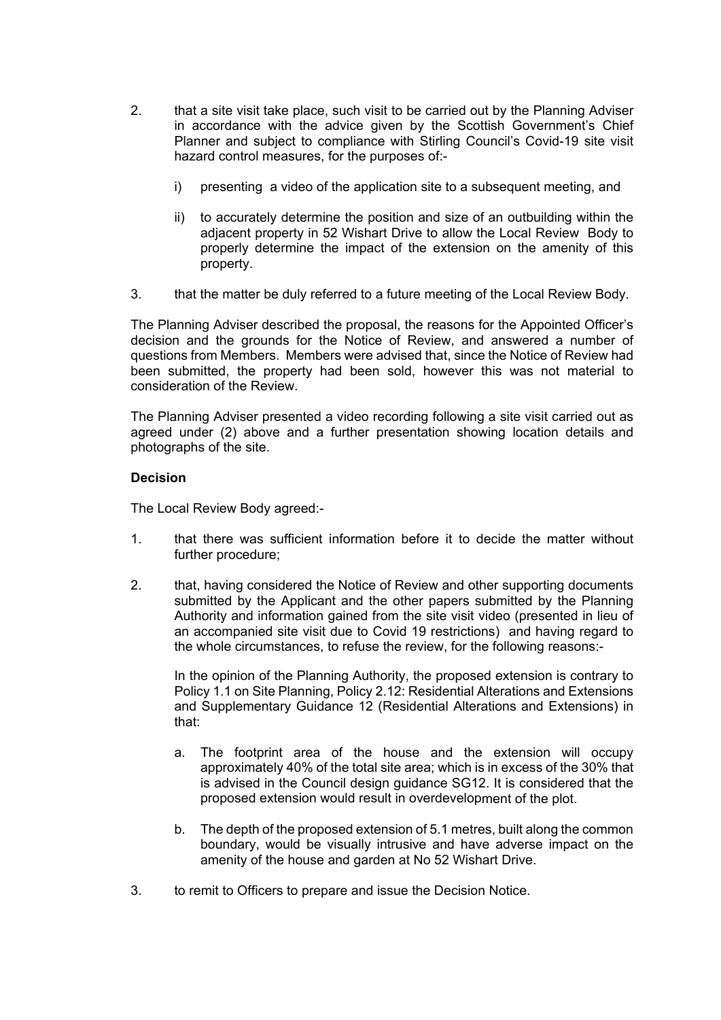- 2. that a site visit take place, such visit to be carried out by the Planning Adviser in accordance with the advice given by the Scottish Government's Chief Planner and subject to compliance with Stirling Council's Covid-19 site visit hazard control measures, for the purposes of:
	- i) presenting a video of the application site to a subsequent meeting, and
	- ii) to accurately determine the position and size of an outbuilding within the adjacent property in 52 Wishart Drive to allow the Local Review Body to properly determine the impact of the extension on the amenity of this property.
- 3. that the matter be duly referred to a future meeting of the Local Review Body.

The Planning Adviser described the proposal, the reasons for the Appointed Officer's decision and the grounds for the Notice of Review, and answered a number of questions from Members. Members were advised that, since the Notice of Review had been submitted, the property had been sold, however this was not material to consideration of the Review.

The Planning Adviser presented a video recording following a site visit carried out as agreed under (2) above and a further presentation showing location details and photographs of the site.

# **Decision**

The Local Review Body agreed:-

- 1. that there was sufficient information before it to decide the matter without further procedure;
- 2. that, having considered the Notice of Review and other supporting documents submitted by the Applicant and the other papers submitted by the Planning Authority and information gained from the site visit video (presented in lieu of an accompanied site visit due to Covid 19 restrictions) and having regard to the whole circumstances, to refuse the review, for the following reasons:-

In the opinion of the Planning Authority, the proposed extension is contrary to Policy 1.1 on Site Planning, Policy 2.12: Residential Alterations and Extensions and Supplementary Guidance 12 (Residential Alterations and Extensions) in that:

- a. The footprint area of the house and the extension will occupy approximately 40% of the total site area; which is in excess of the 30% that is advised in the Council design guidance SG12. It is considered that the proposed extension would result in overdevelopment of the plot.
- b. The depth of the proposed extension of 5.1 metres, built along the common boundary, would be visually intrusive and have adverse impact on the amenity of the house and garden at No 52 Wishart Drive.
- 3. to remit to Officers to prepare and issue the Decision Notice.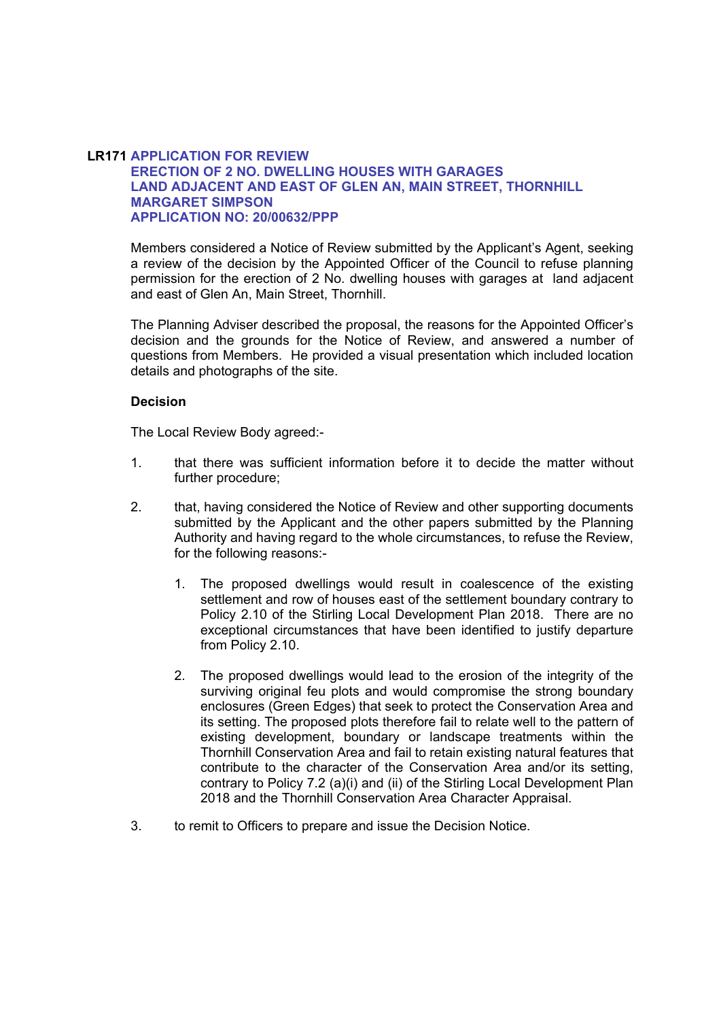# **LR171 APPLICATION FOR REVIEW ERECTION OF 2 NO. DWELLING HOUSES WITH GARAGES LAND ADJACENT AND EAST OF GLEN AN, MAIN STREET, THORNHILL MARGARET SIMPSON APPLICATION NO: 20/00632/PPP**

Members considered a Notice of Review submitted by the Applicant's Agent, seeking a review of the decision by the Appointed Officer of the Council to refuse planning permission for the erection of 2 No. dwelling houses with garages at land adjacent and east of Glen An, Main Street, Thornhill.

The Planning Adviser described the proposal, the reasons for the Appointed Officer's decision and the grounds for the Notice of Review, and answered a number of questions from Members. He provided a visual presentation which included location details and photographs of the site.

# **Decision**

The Local Review Body agreed:-

- 1. that there was sufficient information before it to decide the matter without further procedure;
- 2. that, having considered the Notice of Review and other supporting documents submitted by the Applicant and the other papers submitted by the Planning Authority and having regard to the whole circumstances, to refuse the Review, for the following reasons:-
	- 1. The proposed dwellings would result in coalescence of the existing settlement and row of houses east of the settlement boundary contrary to Policy 2.10 of the Stirling Local Development Plan 2018. There are no exceptional circumstances that have been identified to justify departure from Policy 2.10.
	- 2. The proposed dwellings would lead to the erosion of the integrity of the surviving original feu plots and would compromise the strong boundary enclosures (Green Edges) that seek to protect the Conservation Area and its setting. The proposed plots therefore fail to relate well to the pattern of existing development, boundary or landscape treatments within the Thornhill Conservation Area and fail to retain existing natural features that contribute to the character of the Conservation Area and/or its setting, contrary to Policy 7.2 (a)(i) and (ii) of the Stirling Local Development Plan 2018 and the Thornhill Conservation Area Character Appraisal.
- 3. to remit to Officers to prepare and issue the Decision Notice.